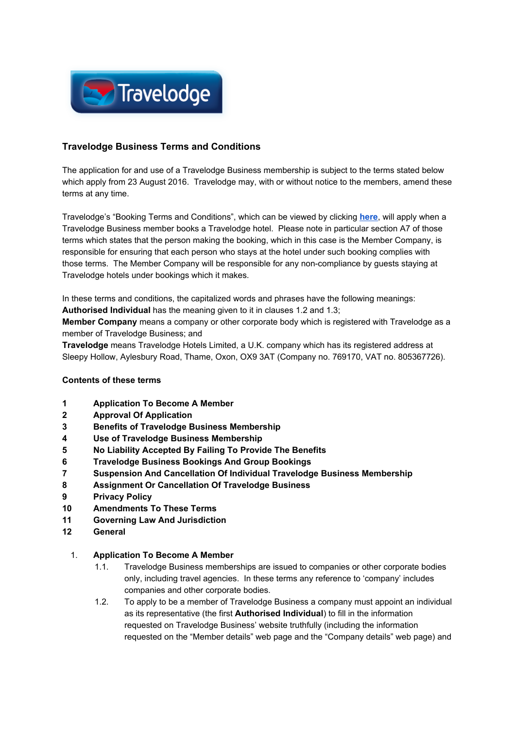

# **Travelodge Business Terms and Conditions**

The application for and use of a Travelodge Business membership is subject to the terms stated below which apply from 23 August 2016. Travelodge may, with or without notice to the members, amend these terms at any time.

Travelodge's "Booking Terms and Conditions", which can be viewed by clicking **[here](https://www.travelodge.co.uk/terms-conditions)**, will apply when a Travelodge Business member books a Travelodge hotel. Please note in particular section A7 of those terms which states that the person making the booking, which in this case is the Member Company, is responsible for ensuring that each person who stays at the hotel under such booking complies with those terms. The Member Company will be responsible for any non-compliance by guests staying at Travelodge hotels under bookings which it makes.

In these terms and conditions, the capitalized words and phrases have the following meanings: **Authorised Individual** has the meaning given to it in clauses 1.2 and 1.3;

**Member Company** means a company or other corporate body which is registered with Travelodge as a member of Travelodge Business; and

**Travelodge** means Travelodge Hotels Limited, a U.K. company which has its registered address at Sleepy Hollow, Aylesbury Road, Thame, Oxon, OX9 3AT (Company no. 769170, VAT no. 805367726).

#### **Contents of these terms**

- **1 Application To Become A Member**
- **2 Approval Of Application**
- **3 Benefits of Travelodge Business Membership**
- **4 Use of Travelodge Business Membership**
- **5 No Liability Accepted By Failing To Provide The Benefits**
- **6 Travelodge Business Bookings And Group Bookings**
- **7 Suspension And Cancellation Of Individual Travelodge Business Membership**
- **8 Assignment Or Cancellation Of Travelodge Business**
- **9 Privacy Policy**
- **10 Amendments To These Terms**
- **11 Governing Law And Jurisdiction**
- **12 General**

#### 1. **Application To Become A Member**

- 1.1. Travelodge Business memberships are issued to companies or other corporate bodies only, including travel agencies. In these terms any reference to 'company' includes companies and other corporate bodies.
- 1.2. To apply to be a member of Travelodge Business a company must appoint an individual as its representative (the first **Authorised Individual**) to fill in the information requested on Travelodge Business' website truthfully (including the information requested on the "Member details" web page and the "Company details" web page) and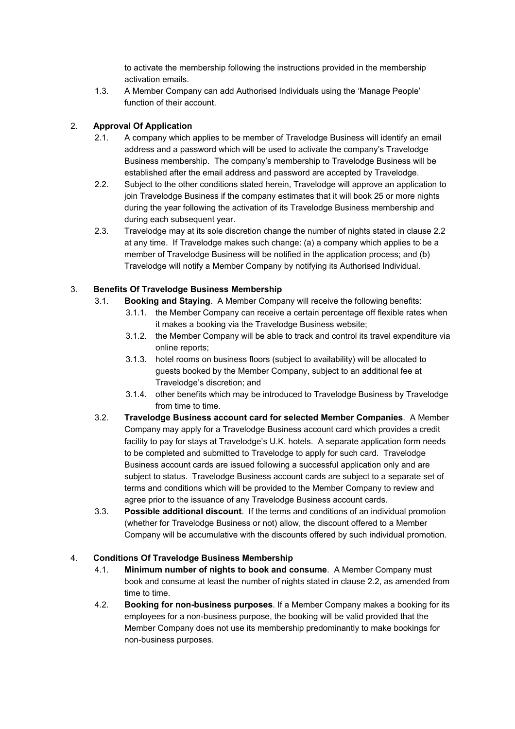to activate the membership following the instructions provided in the membership activation emails.

1.3. A Member Company can add Authorised Individuals using the 'Manage People' function of their account.

### 2. **Approval Of Application**

- 2.1. A company which applies to be member of Travelodge Business will identify an email address and a password which will be used to activate the company's Travelodge Business membership. The company's membership to Travelodge Business will be established after the email address and password are accepted by Travelodge.
- 2.2. Subject to the other conditions stated herein, Travelodge will approve an application to join Travelodge Business if the company estimates that it will book 25 or more nights during the year following the activation of its Travelodge Business membership and during each subsequent year.
- 2.3. Travelodge may at its sole discretion change the number of nights stated in clause 2.2 at any time. If Travelodge makes such change: (a) a company which applies to be a member of Travelodge Business will be notified in the application process; and (b) Travelodge will notify a Member Company by notifying its Authorised Individual.

### 3. **Benefits Of Travelodge Business Membership**

- 3.1. **Booking and Staying**. A Member Company will receive the following benefits:
	- 3.1.1. the Member Company can receive a certain percentage off flexible rates when it makes a booking via the Travelodge Business website;
	- 3.1.2. the Member Company will be able to track and control its travel expenditure via online reports;
	- 3.1.3. hotel rooms on business floors (subject to availability) will be allocated to guests booked by the Member Company, subject to an additional fee at Travelodge's discretion; and
	- 3.1.4. other benefits which may be introduced to Travelodge Business by Travelodge from time to time.
- 3.2. **Travelodge Business account card for selected Member Companies**. A Member Company may apply for a Travelodge Business account card which provides a credit facility to pay for stays at Travelodge's U.K. hotels. A separate application form needs to be completed and submitted to Travelodge to apply for such card. Travelodge Business account cards are issued following a successful application only and are subject to status. Travelodge Business account cards are subject to a separate set of terms and conditions which will be provided to the Member Company to review and agree prior to the issuance of any Travelodge Business account cards.
- 3.3. **Possible additional discount**. If the terms and conditions of an individual promotion (whether for Travelodge Business or not) allow, the discount offered to a Member Company will be accumulative with the discounts offered by such individual promotion.

#### 4. **Conditions Of Travelodge Business Membership**

- 4.1. **Minimum number of nights to book and consume**. A Member Company must book and consume at least the number of nights stated in clause 2.2, as amended from time to time.
- 4.2. **Booking for non-business purposes**. If a Member Company makes a booking for its employees for a non-business purpose, the booking will be valid provided that the Member Company does not use its membership predominantly to make bookings for non-business purposes.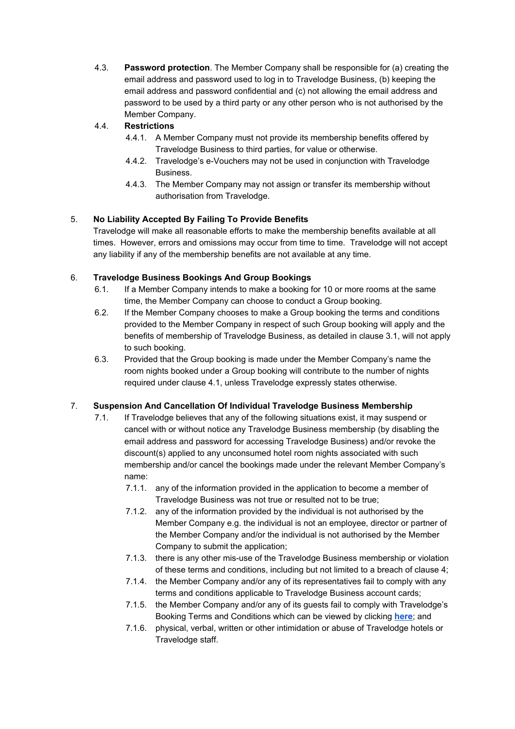4.3. **Password protection**. The Member Company shall be responsible for (a) creating the email address and password used to log in to Travelodge Business, (b) keeping the email address and password confidential and (c) not allowing the email address and password to be used by a third party or any other person who is not authorised by the Member Company.

# 4.4. **Restrictions**

- 4.4.1. A Member Company must not provide its membership benefits offered by Travelodge Business to third parties, for value or otherwise.
- 4.4.2. Travelodge's e-Vouchers may not be used in conjunction with Travelodge Business.
- 4.4.3. The Member Company may not assign or transfer its membership without authorisation from Travelodge.

# 5. **No Liability Accepted By Failing To Provide Benefits**

Travelodge will make all reasonable efforts to make the membership benefits available at all times. However, errors and omissions may occur from time to time. Travelodge will not accept any liability if any of the membership benefits are not available at any time.

### 6. **Travelodge Business Bookings And Group Bookings**

- 6.1. If a Member Company intends to make a booking for 10 or more rooms at the same time, the Member Company can choose to conduct a Group booking.
- 6.2. If the Member Company chooses to make a Group booking the terms and conditions provided to the Member Company in respect of such Group booking will apply and the benefits of membership of Travelodge Business, as detailed in clause 3.1, will not apply to such booking.
- 6.3. Provided that the Group booking is made under the Member Company's name the room nights booked under a Group booking will contribute to the number of nights required under clause 4.1, unless Travelodge expressly states otherwise.

# 7. **Suspension And Cancellation Of Individual Travelodge Business Membership**

- 7.1. If Travelodge believes that any of the following situations exist, it may suspend or cancel with or without notice any Travelodge Business membership (by disabling the email address and password for accessing Travelodge Business) and/or revoke the discount(s) applied to any unconsumed hotel room nights associated with such membership and/or cancel the bookings made under the relevant Member Company's name:
	- 7.1.1. any of the information provided in the application to become a member of Travelodge Business was not true or resulted not to be true;
	- 7.1.2. any of the information provided by the individual is not authorised by the Member Company e.g. the individual is not an employee, director or partner of the Member Company and/or the individual is not authorised by the Member Company to submit the application;
	- 7.1.3. there is any other mis-use of the Travelodge Business membership or violation of these terms and conditions, including but not limited to a breach of clause 4;
	- 7.1.4. the Member Company and/or any of its representatives fail to comply with any terms and conditions applicable to Travelodge Business account cards;
	- 7.1.5. the Member Company and/or any of its guests fail to comply with Travelodge's Booking Terms and Conditions which can be viewed by clicking **[here](https://www.travelodge.co.uk/terms-conditions)**; and
	- 7.1.6. physical, verbal, written or other intimidation or abuse of Travelodge hotels or Travelodge staff.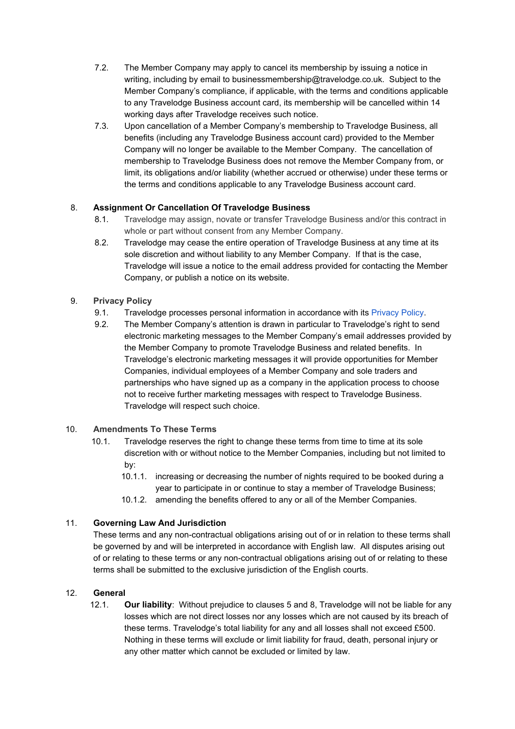- 7.2. The Member Company may apply to cancel its membership by issuing a notice in writing, including by email to businessmembership@travelodge.co.uk. Subject to the Member Company's compliance, if applicable, with the terms and conditions applicable to any Travelodge Business account card, its membership will be cancelled within 14 working days after Travelodge receives such notice.
- 7.3. Upon cancellation of a Member Company's membership to Travelodge Business, all benefits (including any Travelodge Business account card) provided to the Member Company will no longer be available to the Member Company. The cancellation of membership to Travelodge Business does not remove the Member Company from, or limit, its obligations and/or liability (whether accrued or otherwise) under these terms or the terms and conditions applicable to any Travelodge Business account card.

# 8. **Assignment Or Cancellation Of Travelodge Business**

- 8.1. Travelodge may assign, novate or transfer Travelodge Business and/or this contract in whole or part without consent from any Member Company.
- 8.2. Travelodge may cease the entire operation of Travelodge Business at any time at its sole discretion and without liability to any Member Company. If that is the case, Travelodge will issue a notice to the email address provided for contacting the Member Company, or publish a notice on its website.

# 9. **Privacy Policy**

- 9.1. Travelodge processes personal information in accordance with its [Privacy Policy](https://www.travelodge.co.uk/privacy-policy).
- 9.2. The Member Company's attention is drawn in particular to Travelodge's right to send electronic marketing messages to the Member Company's email addresses provided by the Member Company to promote Travelodge Business and related benefits. In Travelodge's electronic marketing messages it will provide opportunities for Member Companies, individual employees of a Member Company and sole traders and partnerships who have signed up as a company in the application process to choose not to receive further marketing messages with respect to Travelodge Business. Travelodge will respect such choice.

### 10. **Amendments To These Terms**

- 10.1. Travelodge reserves the right to change these terms from time to time at its sole discretion with or without notice to the Member Companies, including but not limited to by:
	- 10.1.1. increasing or decreasing the number of nights required to be booked during a year to participate in or continue to stay a member of Travelodge Business;
	- 10.1.2. amending the benefits offered to any or all of the Member Companies.

### 11. **Governing Law And Jurisdiction**

These terms and any non-contractual obligations arising out of or in relation to these terms shall be governed by and will be interpreted in accordance with English law. All disputes arising out of or relating to these terms or any non-contractual obligations arising out of or relating to these terms shall be submitted to the exclusive jurisdiction of the English courts.

### 12. **General**

12.1. **Our liability**: Without prejudice to clauses 5 and 8, Travelodge will not be liable for any losses which are not direct losses nor any losses which are not caused by its breach of these terms. Travelodge's total liability for any and all losses shall not exceed £500. Nothing in these terms will exclude or limit liability for fraud, death, personal injury or any other matter which cannot be excluded or limited by law.